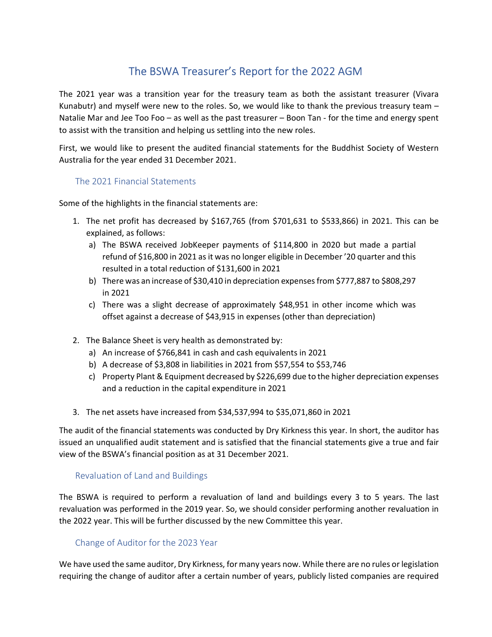# The BSWA Treasurer's Report for the 2022 AGM

The 2021 year was a transition year for the treasury team as both the assistant treasurer (Vivara Kunabutr) and myself were new to the roles. So, we would like to thank the previous treasury team – Natalie Mar and Jee Too Foo – as well as the past treasurer – Boon Tan - for the time and energy spent to assist with the transition and helping us settling into the new roles.

First, we would like to present the audited financial statements for the Buddhist Society of Western Australia for the year ended 31 December 2021.

# The 2021 Financial Statements

Some of the highlights in the financial statements are:

- 1. The net profit has decreased by \$167,765 (from \$701,631 to \$533,866) in 2021. This can be explained, as follows:
	- a) The BSWA received JobKeeper payments of \$114,800 in 2020 but made a partial refund of \$16,800 in 2021 as it was no longer eligible in December '20 quarter and this resulted in a total reduction of \$131,600 in 2021
	- b) There was an increase of \$30,410 in depreciation expenses from \$777,887 to \$808,297 in 2021
	- c) There was a slight decrease of approximately \$48,951 in other income which was offset against a decrease of \$43,915 in expenses (other than depreciation)
- 2. The Balance Sheet is very health as demonstrated by:
	- a) An increase of \$766,841 in cash and cash equivalents in 2021
	- b) A decrease of \$3,808 in liabilities in 2021 from \$57,554 to \$53,746
	- c) Property Plant & Equipment decreased by \$226,699 due to the higher depreciation expenses and a reduction in the capital expenditure in 2021
- 3. The net assets have increased from \$34,537,994 to \$35,071,860 in 2021

The audit of the financial statements was conducted by Dry Kirkness this year. In short, the auditor has issued an unqualified audit statement and is satisfied that the financial statements give a true and fair view of the BSWA's financial position as at 31 December 2021.

### Revaluation of Land and Buildings

The BSWA is required to perform a revaluation of land and buildings every 3 to 5 years. The last revaluation was performed in the 2019 year. So, we should consider performing another revaluation in the 2022 year. This will be further discussed by the new Committee this year.

### Change of Auditor for the 2023 Year

We have used the same auditor, Dry Kirkness, for many years now. While there are no rules or legislation requiring the change of auditor after a certain number of years, publicly listed companies are required